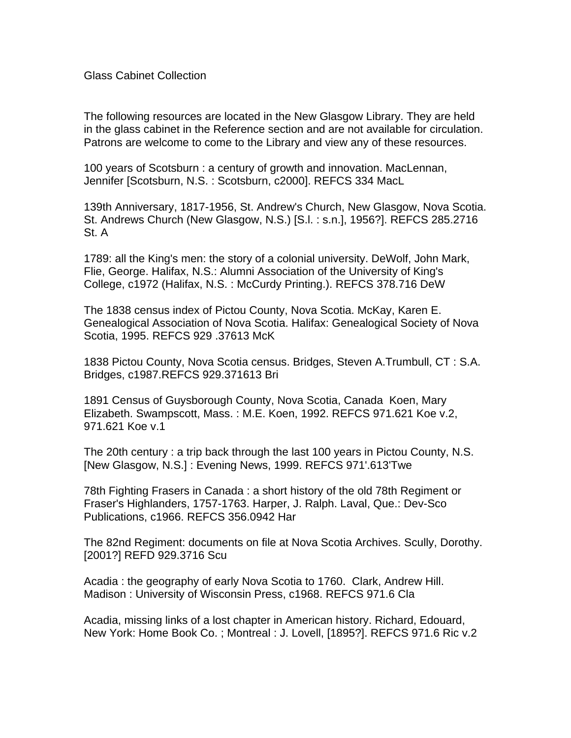## Glass Cabinet Collection

The following resources are located in the New Glasgow Library. They are held in the glass cabinet in the Reference section and are not available for circulation. Patrons are welcome to come to the Library and view any of these resources.

100 years of Scotsburn : a century of growth and innovation. MacLennan, Jennifer [Scotsburn, N.S. : Scotsburn, c2000]. REFCS 334 MacL

139th Anniversary, 1817-1956, St. Andrew's Church, New Glasgow, Nova Scotia. St. Andrews Church (New Glasgow, N.S.) [S.l. : s.n.], 1956?]. REFCS 285.2716 St. A

1789: all the King's men: the story of a colonial university. DeWolf, John Mark, Flie, George. Halifax, N.S.: Alumni Association of the University of King's College, c1972 (Halifax, N.S. : McCurdy Printing.). REFCS 378.716 DeW

The 1838 census index of Pictou County, Nova Scotia. McKay, Karen E. Genealogical Association of Nova Scotia. Halifax: Genealogical Society of Nova Scotia, 1995. REFCS 929 .37613 McK

1838 Pictou County, Nova Scotia census. Bridges, Steven A.Trumbull, CT : S.A. Bridges, c1987.REFCS 929.371613 Bri

1891 Census of Guysborough County, Nova Scotia, Canada Koen, Mary Elizabeth. Swampscott, Mass. : M.E. Koen, 1992. REFCS 971.621 Koe v.2, 971.621 Koe v.1

The 20th century : a trip back through the last 100 years in Pictou County, N.S. [New Glasgow, N.S.] : Evening News, 1999. REFCS 971'.613'Twe

78th Fighting Frasers in Canada : a short history of the old 78th Regiment or Fraser's Highlanders, 1757-1763. Harper, J. Ralph. Laval, Que.: Dev-Sco Publications, c1966. REFCS 356.0942 Har

The 82nd Regiment: documents on file at Nova Scotia Archives. Scully, Dorothy. [2001?] REFD 929.3716 Scu

Acadia : the geography of early Nova Scotia to 1760. Clark, Andrew Hill. Madison : University of Wisconsin Press, c1968. REFCS 971.6 Cla

Acadia, missing links of a lost chapter in American history. Richard, Edouard, New York: Home Book Co. ; Montreal : J. Lovell, [1895?]. REFCS 971.6 Ric v.2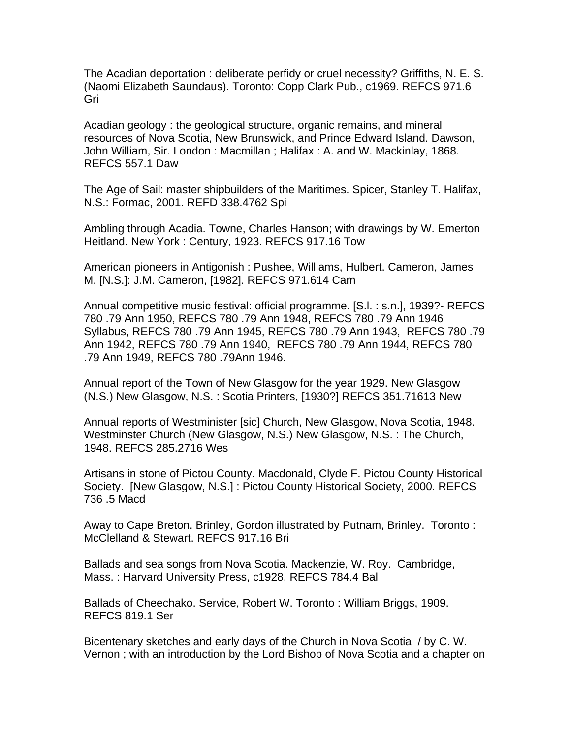The Acadian deportation : deliberate perfidy or cruel necessity? Griffiths, N. E. S. (Naomi Elizabeth Saundaus). Toronto: Copp Clark Pub., c1969. REFCS 971.6 Gri

Acadian geology : the geological structure, organic remains, and mineral resources of Nova Scotia, New Brunswick, and Prince Edward Island. Dawson, John William, Sir. London : Macmillan ; Halifax : A. and W. Mackinlay, 1868. REFCS 557.1 Daw

The Age of Sail: master shipbuilders of the Maritimes. Spicer, Stanley T. Halifax, N.S.: Formac, 2001. REFD 338.4762 Spi

Ambling through Acadia. Towne, Charles Hanson; with drawings by W. Emerton Heitland. New York : Century, 1923. REFCS 917.16 Tow

American pioneers in Antigonish : Pushee, Williams, Hulbert. Cameron, James M. [N.S.]: J.M. Cameron, [1982]. REFCS 971.614 Cam

Annual competitive music festival: official programme. [S.l. : s.n.], 1939?- REFCS 780 .79 Ann 1950, REFCS 780 .79 Ann 1948, REFCS 780 .79 Ann 1946 Syllabus, REFCS 780 .79 Ann 1945, REFCS 780 .79 Ann 1943, REFCS 780 .79 Ann 1942, REFCS 780 .79 Ann 1940, REFCS 780 .79 Ann 1944, REFCS 780 .79 Ann 1949, REFCS 780 .79Ann 1946.

Annual report of the Town of New Glasgow for the year 1929. New Glasgow (N.S.) New Glasgow, N.S. : Scotia Printers, [1930?] REFCS 351.71613 New

Annual reports of Westminister [sic] Church, New Glasgow, Nova Scotia, 1948. Westminster Church (New Glasgow, N.S.) New Glasgow, N.S. : The Church, 1948. REFCS 285.2716 Wes

Artisans in stone of Pictou County. Macdonald, Clyde F. Pictou County Historical Society. [New Glasgow, N.S.] : Pictou County Historical Society, 2000. REFCS 736 .5 Macd

Away to Cape Breton. Brinley, Gordon illustrated by Putnam, Brinley. Toronto : McClelland & Stewart. REFCS 917.16 Bri

Ballads and sea songs from Nova Scotia. Mackenzie, W. Roy. Cambridge, Mass. : Harvard University Press, c1928. REFCS 784.4 Bal

Ballads of Cheechako. Service, Robert W. Toronto : William Briggs, 1909. REFCS 819.1 Ser

Bicentenary sketches and early days of the Church in Nova Scotia / by C. W. Vernon ; with an introduction by the Lord Bishop of Nova Scotia and a chapter on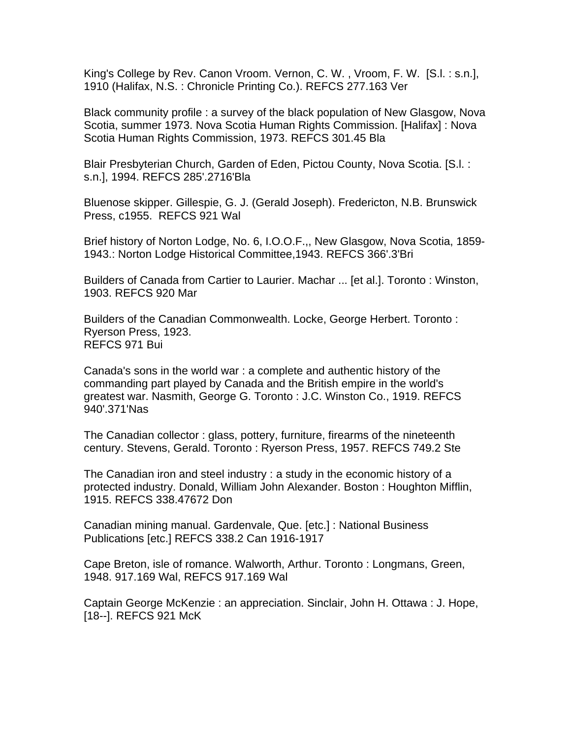King's College by Rev. Canon Vroom. Vernon, C. W. , Vroom, F. W. [S.l. : s.n.], 1910 (Halifax, N.S. : Chronicle Printing Co.). REFCS 277.163 Ver

Black community profile : a survey of the black population of New Glasgow, Nova Scotia, summer 1973. Nova Scotia Human Rights Commission. [Halifax] : Nova Scotia Human Rights Commission, 1973. REFCS 301.45 Bla

Blair Presbyterian Church, Garden of Eden, Pictou County, Nova Scotia. [S.l. : s.n.], 1994. REFCS 285'.2716'Bla

Bluenose skipper. Gillespie, G. J. (Gerald Joseph). Fredericton, N.B. Brunswick Press, c1955. REFCS 921 Wal

Brief history of Norton Lodge, No. 6, I.O.O.F.,, New Glasgow, Nova Scotia, 1859- 1943.: Norton Lodge Historical Committee,1943. REFCS 366'.3'Bri

Builders of Canada from Cartier to Laurier. Machar ... [et al.]. Toronto : Winston, 1903. REFCS 920 Mar

Builders of the Canadian Commonwealth. Locke, George Herbert. Toronto : Ryerson Press, 1923. REFCS 971 Bui

Canada's sons in the world war : a complete and authentic history of the commanding part played by Canada and the British empire in the world's greatest war. Nasmith, George G. Toronto : J.C. Winston Co., 1919. REFCS 940'.371'Nas

The Canadian collector : glass, pottery, furniture, firearms of the nineteenth century. Stevens, Gerald. Toronto : Ryerson Press, 1957. REFCS 749.2 Ste

The Canadian iron and steel industry : a study in the economic history of a protected industry. Donald, William John Alexander. Boston : Houghton Mifflin, 1915. REFCS 338.47672 Don

Canadian mining manual. Gardenvale, Que. [etc.] : National Business Publications [etc.] REFCS 338.2 Can 1916-1917

Cape Breton, isle of romance. Walworth, Arthur. Toronto : Longmans, Green, 1948. 917.169 Wal, REFCS 917.169 Wal

Captain George McKenzie : an appreciation. Sinclair, John H. Ottawa : J. Hope, [18--]. REFCS 921 McK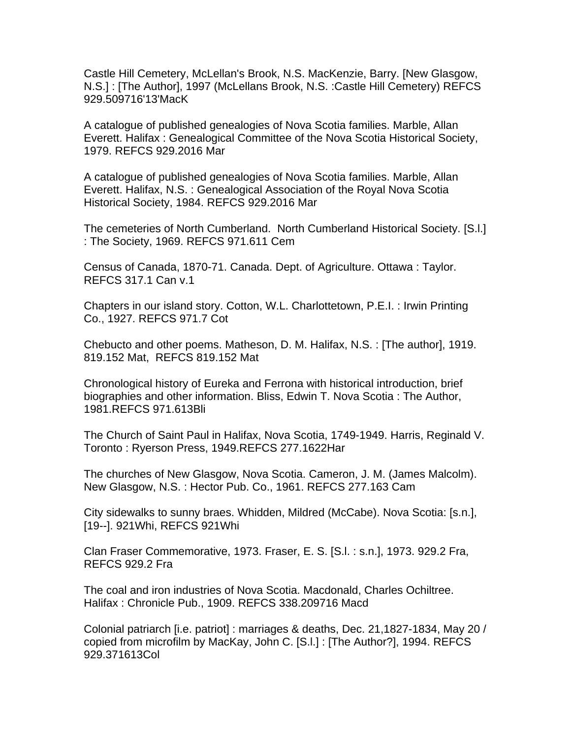Castle Hill Cemetery, McLellan's Brook, N.S. MacKenzie, Barry. [New Glasgow, N.S.] : [The Author], 1997 (McLellans Brook, N.S. :Castle Hill Cemetery) REFCS 929.509716'13'MacK

A catalogue of published genealogies of Nova Scotia families. Marble, Allan Everett. Halifax : Genealogical Committee of the Nova Scotia Historical Society, 1979. REFCS 929.2016 Mar

A catalogue of published genealogies of Nova Scotia families. Marble, Allan Everett. Halifax, N.S. : Genealogical Association of the Royal Nova Scotia Historical Society, 1984. REFCS 929.2016 Mar

The cemeteries of North Cumberland. North Cumberland Historical Society. [S.l.] : The Society, 1969. REFCS 971.611 Cem

Census of Canada, 1870-71. Canada. Dept. of Agriculture. Ottawa : Taylor. REFCS 317.1 Can v.1

Chapters in our island story. Cotton, W.L. Charlottetown, P.E.I. : Irwin Printing Co., 1927. REFCS 971.7 Cot

Chebucto and other poems. Matheson, D. M. Halifax, N.S. : [The author], 1919. 819.152 Mat, REFCS 819.152 Mat

Chronological history of Eureka and Ferrona with historical introduction, brief biographies and other information. Bliss, Edwin T. Nova Scotia : The Author, 1981.REFCS 971.613Bli

The Church of Saint Paul in Halifax, Nova Scotia, 1749-1949. Harris, Reginald V. Toronto : Ryerson Press, 1949.REFCS 277.1622Har

The churches of New Glasgow, Nova Scotia. Cameron, J. M. (James Malcolm). New Glasgow, N.S. : Hector Pub. Co., 1961. REFCS 277.163 Cam

City sidewalks to sunny braes. Whidden, Mildred (McCabe). Nova Scotia: [s.n.], [19--]. 921Whi, REFCS 921Whi

Clan Fraser Commemorative, 1973. Fraser, E. S. [S.l. : s.n.], 1973. 929.2 Fra, REFCS 929.2 Fra

The coal and iron industries of Nova Scotia. Macdonald, Charles Ochiltree. Halifax : Chronicle Pub., 1909. REFCS 338.209716 Macd

Colonial patriarch [i.e. patriot] : marriages & deaths, Dec. 21,1827-1834, May 20 / copied from microfilm by MacKay, John C. [S.l.] : [The Author?], 1994. REFCS 929.371613Col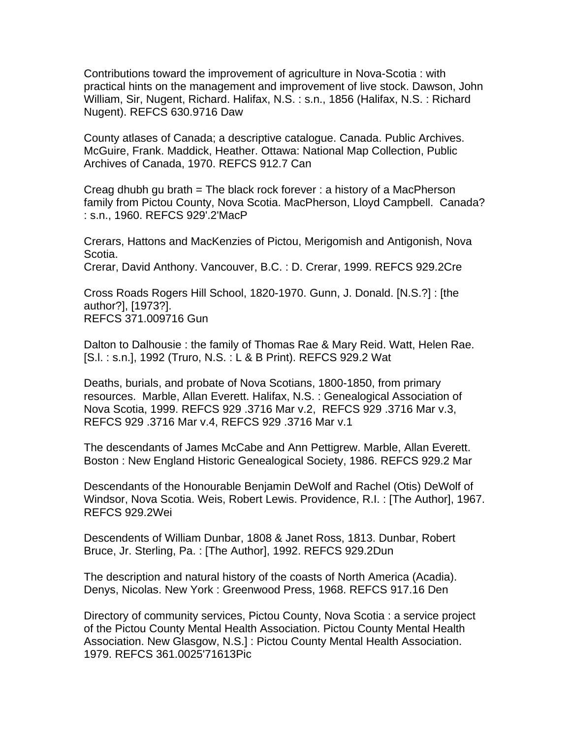Contributions toward the improvement of agriculture in Nova-Scotia : with practical hints on the management and improvement of live stock. Dawson, John William, Sir, Nugent, Richard. Halifax, N.S. : s.n., 1856 (Halifax, N.S. : Richard Nugent). REFCS 630.9716 Daw

County atlases of Canada; a descriptive catalogue. Canada. Public Archives. McGuire, Frank. Maddick, Heather. Ottawa: National Map Collection, Public Archives of Canada, 1970. REFCS 912.7 Can

Creag dhubh gu brath = The black rock forever : a history of a MacPherson family from Pictou County, Nova Scotia. MacPherson, Lloyd Campbell. Canada? : s.n., 1960. REFCS 929'.2'MacP

Crerars, Hattons and MacKenzies of Pictou, Merigomish and Antigonish, Nova Scotia.

Crerar, David Anthony. Vancouver, B.C. : D. Crerar, 1999. REFCS 929.2Cre

Cross Roads Rogers Hill School, 1820-1970. Gunn, J. Donald. [N.S.?] : [the author?], [1973?]. REFCS 371.009716 Gun

Dalton to Dalhousie : the family of Thomas Rae & Mary Reid. Watt, Helen Rae. [S.l. : s.n.], 1992 (Truro, N.S. : L & B Print). REFCS 929.2 Wat

Deaths, burials, and probate of Nova Scotians, 1800-1850, from primary resources. Marble, Allan Everett. Halifax, N.S. : Genealogical Association of Nova Scotia, 1999. REFCS 929 .3716 Mar v.2, REFCS 929 .3716 Mar v.3, REFCS 929 .3716 Mar v.4, REFCS 929 .3716 Mar v.1

The descendants of James McCabe and Ann Pettigrew. Marble, Allan Everett. Boston : New England Historic Genealogical Society, 1986. REFCS 929.2 Mar

Descendants of the Honourable Benjamin DeWolf and Rachel (Otis) DeWolf of Windsor, Nova Scotia. Weis, Robert Lewis. Providence, R.I. : [The Author], 1967. REFCS 929.2Wei

Descendents of William Dunbar, 1808 & Janet Ross, 1813. Dunbar, Robert Bruce, Jr. Sterling, Pa. : [The Author], 1992. REFCS 929.2Dun

The description and natural history of the coasts of North America (Acadia). Denys, Nicolas. New York : Greenwood Press, 1968. REFCS 917.16 Den

Directory of community services, Pictou County, Nova Scotia : a service project of the Pictou County Mental Health Association. Pictou County Mental Health Association. New Glasgow, N.S.] : Pictou County Mental Health Association. 1979. REFCS 361.0025'71613Pic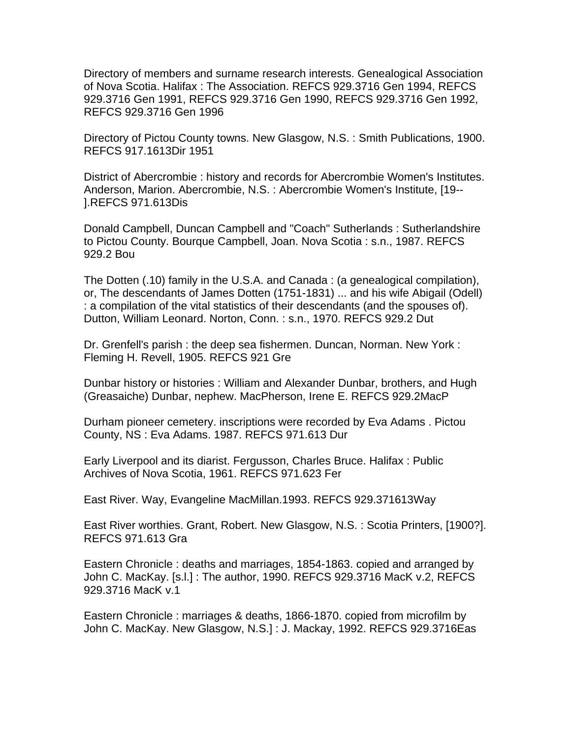Directory of members and surname research interests. Genealogical Association of Nova Scotia. Halifax : The Association. REFCS 929.3716 Gen 1994, REFCS 929.3716 Gen 1991, REFCS 929.3716 Gen 1990, REFCS 929.3716 Gen 1992, REFCS 929.3716 Gen 1996

Directory of Pictou County towns. New Glasgow, N.S. : Smith Publications, 1900. REFCS 917.1613Dir 1951

District of Abercrombie : history and records for Abercrombie Women's Institutes. Anderson, Marion. Abercrombie, N.S. : Abercrombie Women's Institute, [19-- ].REFCS 971.613Dis

Donald Campbell, Duncan Campbell and "Coach" Sutherlands : Sutherlandshire to Pictou County. Bourque Campbell, Joan. Nova Scotia : s.n., 1987. REFCS 929.2 Bou

The Dotten (.10) family in the U.S.A. and Canada : (a genealogical compilation), or, The descendants of James Dotten (1751-1831) ... and his wife Abigail (Odell) : a compilation of the vital statistics of their descendants (and the spouses of). Dutton, William Leonard. Norton, Conn. : s.n., 1970. REFCS 929.2 Dut

Dr. Grenfell's parish : the deep sea fishermen. Duncan, Norman. New York : Fleming H. Revell, 1905. REFCS 921 Gre

Dunbar history or histories : William and Alexander Dunbar, brothers, and Hugh (Greasaiche) Dunbar, nephew. MacPherson, Irene E. REFCS 929.2MacP

Durham pioneer cemetery. inscriptions were recorded by Eva Adams . Pictou County, NS : Eva Adams. 1987. REFCS 971.613 Dur

Early Liverpool and its diarist. Fergusson, Charles Bruce. Halifax : Public Archives of Nova Scotia, 1961. REFCS 971.623 Fer

East River. Way, Evangeline MacMillan.1993. REFCS 929.371613Way

East River worthies. Grant, Robert. New Glasgow, N.S. : Scotia Printers, [1900?]. REFCS 971.613 Gra

Eastern Chronicle : deaths and marriages, 1854-1863. copied and arranged by John C. MacKay. [s.l.] : The author, 1990. REFCS 929.3716 MacK v.2, REFCS 929.3716 MacK v.1

Eastern Chronicle : marriages & deaths, 1866-1870. copied from microfilm by John C. MacKay. New Glasgow, N.S.] : J. Mackay, 1992. REFCS 929.3716Eas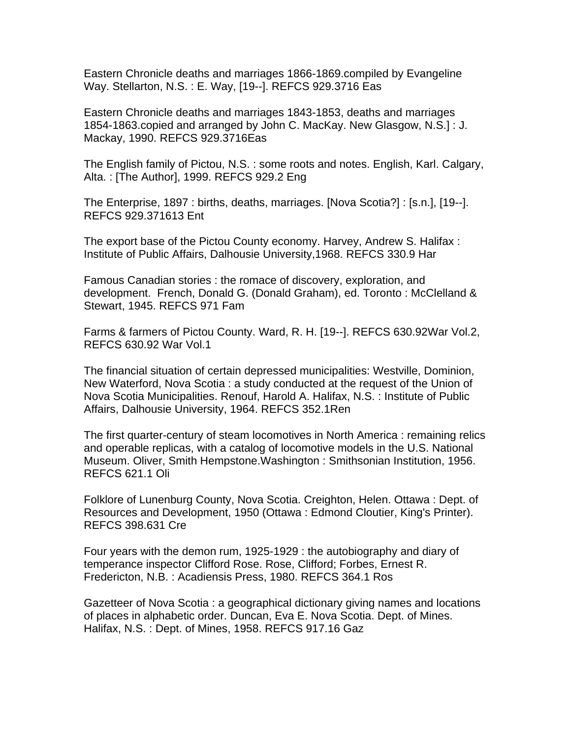Eastern Chronicle deaths and marriages 1866-1869.compiled by Evangeline Way. Stellarton, N.S. : E. Way, [19--]. REFCS 929.3716 Eas

Eastern Chronicle deaths and marriages 1843-1853, deaths and marriages 1854-1863.copied and arranged by John C. MacKay. New Glasgow, N.S.] : J. Mackay, 1990. REFCS 929.3716Eas

The English family of Pictou, N.S. : some roots and notes. English, Karl. Calgary, Alta. : [The Author], 1999. REFCS 929.2 Eng

The Enterprise, 1897 : births, deaths, marriages. [Nova Scotia?] : [s.n.], [19--]. REFCS 929.371613 Ent

The export base of the Pictou County economy. Harvey, Andrew S. Halifax : Institute of Public Affairs, Dalhousie University,1968. REFCS 330.9 Har

Famous Canadian stories : the romace of discovery, exploration, and development. French, Donald G. (Donald Graham), ed. Toronto : McClelland & Stewart, 1945. REFCS 971 Fam

Farms & farmers of Pictou County. Ward, R. H. [19--]. REFCS 630.92War Vol.2, REFCS 630.92 War Vol.1

The financial situation of certain depressed municipalities: Westville, Dominion, New Waterford, Nova Scotia : a study conducted at the request of the Union of Nova Scotia Municipalities. Renouf, Harold A. Halifax, N.S. : Institute of Public Affairs, Dalhousie University, 1964. REFCS 352.1Ren

The first quarter-century of steam locomotives in North America : remaining relics and operable replicas, with a catalog of locomotive models in the U.S. National Museum. Oliver, Smith Hempstone.Washington : Smithsonian Institution, 1956. REFCS 621.1 Oli

Folklore of Lunenburg County, Nova Scotia. Creighton, Helen. Ottawa : Dept. of Resources and Development, 1950 (Ottawa : Edmond Cloutier, King's Printer). REFCS 398.631 Cre

Four years with the demon rum, 1925-1929 : the autobiography and diary of temperance inspector Clifford Rose. Rose, Clifford; Forbes, Ernest R. Fredericton, N.B. : Acadiensis Press, 1980. REFCS 364.1 Ros

Gazetteer of Nova Scotia : a geographical dictionary giving names and locations of places in alphabetic order. Duncan, Eva E. Nova Scotia. Dept. of Mines. Halifax, N.S. : Dept. of Mines, 1958. REFCS 917.16 Gaz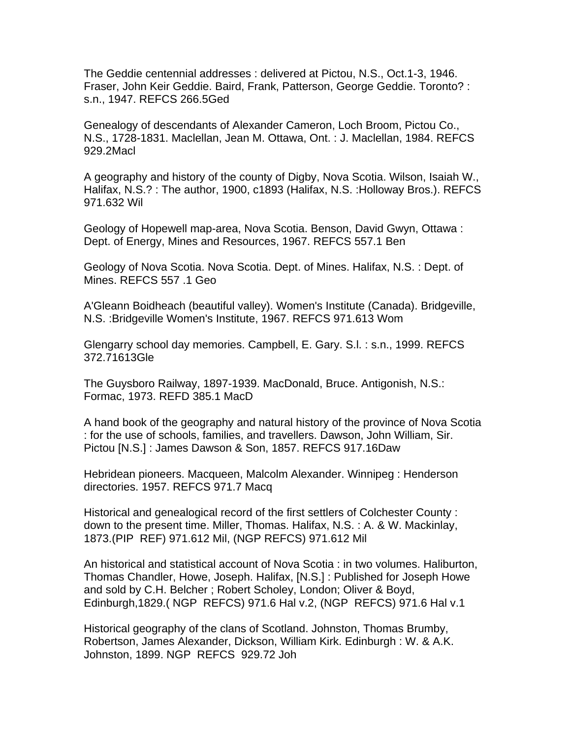The Geddie centennial addresses : delivered at Pictou, N.S., Oct.1-3, 1946. Fraser, John Keir Geddie. Baird, Frank, Patterson, George Geddie. Toronto? : s.n., 1947. REFCS 266.5Ged

Genealogy of descendants of Alexander Cameron, Loch Broom, Pictou Co., N.S., 1728-1831. Maclellan, Jean M. Ottawa, Ont. : J. Maclellan, 1984. REFCS 929.2Macl

A geography and history of the county of Digby, Nova Scotia. Wilson, Isaiah W., Halifax, N.S.? : The author, 1900, c1893 (Halifax, N.S. :Holloway Bros.). REFCS 971.632 Wil

Geology of Hopewell map-area, Nova Scotia. Benson, David Gwyn, Ottawa : Dept. of Energy, Mines and Resources, 1967. REFCS 557.1 Ben

Geology of Nova Scotia. Nova Scotia. Dept. of Mines. Halifax, N.S. : Dept. of Mines. REFCS 557 .1 Geo

A'Gleann Boidheach (beautiful valley). Women's Institute (Canada). Bridgeville, N.S. :Bridgeville Women's Institute, 1967. REFCS 971.613 Wom

Glengarry school day memories. Campbell, E. Gary. S.l. : s.n., 1999. REFCS 372.71613Gle

The Guysboro Railway, 1897-1939. MacDonald, Bruce. Antigonish, N.S.: Formac, 1973. REFD 385.1 MacD

A hand book of the geography and natural history of the province of Nova Scotia : for the use of schools, families, and travellers. Dawson, John William, Sir. Pictou [N.S.] : James Dawson & Son, 1857. REFCS 917.16Daw

Hebridean pioneers. Macqueen, Malcolm Alexander. Winnipeg : Henderson directories. 1957. REFCS 971.7 Macq

Historical and genealogical record of the first settlers of Colchester County : down to the present time. Miller, Thomas. Halifax, N.S. : A. & W. Mackinlay, 1873.(PIP REF) 971.612 Mil, (NGP REFCS) 971.612 Mil

An historical and statistical account of Nova Scotia : in two volumes. Haliburton, Thomas Chandler, Howe, Joseph. Halifax, [N.S.] : Published for Joseph Howe and sold by C.H. Belcher ; Robert Scholey, London; Oliver & Boyd, Edinburgh,1829.( NGP REFCS) 971.6 Hal v.2, (NGP REFCS) 971.6 Hal v.1

Historical geography of the clans of Scotland. Johnston, Thomas Brumby, Robertson, James Alexander, Dickson, William Kirk. Edinburgh : W. & A.K. Johnston, 1899. NGP REFCS 929.72 Joh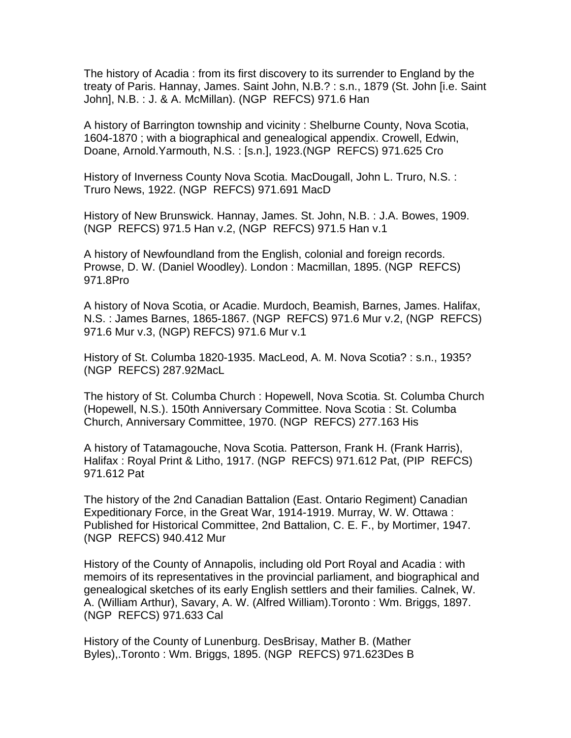The history of Acadia : from its first discovery to its surrender to England by the treaty of Paris. Hannay, James. Saint John, N.B.? : s.n., 1879 (St. John [i.e. Saint John], N.B. : J. & A. McMillan). (NGP REFCS) 971.6 Han

A history of Barrington township and vicinity : Shelburne County, Nova Scotia, 1604-1870 ; with a biographical and genealogical appendix. Crowell, Edwin, Doane, Arnold.Yarmouth, N.S. : [s.n.], 1923.(NGP REFCS) 971.625 Cro

History of Inverness County Nova Scotia. MacDougall, John L. Truro, N.S. : Truro News, 1922. (NGP REFCS) 971.691 MacD

History of New Brunswick. Hannay, James. St. John, N.B. : J.A. Bowes, 1909. (NGP REFCS) 971.5 Han v.2, (NGP REFCS) 971.5 Han v.1

A history of Newfoundland from the English, colonial and foreign records. Prowse, D. W. (Daniel Woodley). London : Macmillan, 1895. (NGP REFCS) 971.8Pro

A history of Nova Scotia, or Acadie. Murdoch, Beamish, Barnes, James. Halifax, N.S. : James Barnes, 1865-1867. (NGP REFCS) 971.6 Mur v.2, (NGP REFCS) 971.6 Mur v.3, (NGP) REFCS) 971.6 Mur v.1

History of St. Columba 1820-1935. MacLeod, A. M. Nova Scotia? : s.n., 1935? (NGP REFCS) 287.92MacL

The history of St. Columba Church : Hopewell, Nova Scotia. St. Columba Church (Hopewell, N.S.). 150th Anniversary Committee. Nova Scotia : St. Columba Church, Anniversary Committee, 1970. (NGP REFCS) 277.163 His

A history of Tatamagouche, Nova Scotia. Patterson, Frank H. (Frank Harris), Halifax : Royal Print & Litho, 1917. (NGP REFCS) 971.612 Pat, (PIP REFCS) 971.612 Pat

The history of the 2nd Canadian Battalion (East. Ontario Regiment) Canadian Expeditionary Force, in the Great War, 1914-1919. Murray, W. W. Ottawa : Published for Historical Committee, 2nd Battalion, C. E. F., by Mortimer, 1947. (NGP REFCS) 940.412 Mur

History of the County of Annapolis, including old Port Royal and Acadia : with memoirs of its representatives in the provincial parliament, and biographical and genealogical sketches of its early English settlers and their families. Calnek, W. A. (William Arthur), Savary, A. W. (Alfred William).Toronto : Wm. Briggs, 1897. (NGP REFCS) 971.633 Cal

History of the County of Lunenburg. DesBrisay, Mather B. (Mather Byles),.Toronto : Wm. Briggs, 1895. (NGP REFCS) 971.623Des B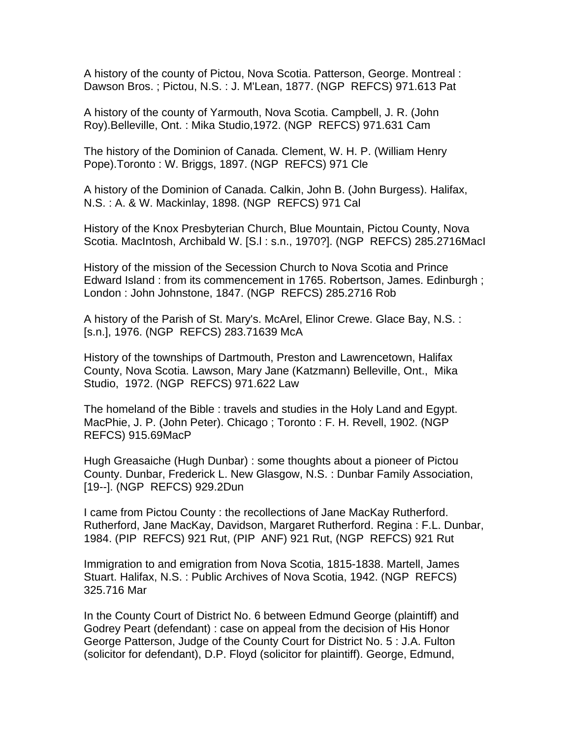A history of the county of Pictou, Nova Scotia. Patterson, George. Montreal : Dawson Bros. ; Pictou, N.S. : J. M'Lean, 1877. (NGP REFCS) 971.613 Pat

A history of the county of Yarmouth, Nova Scotia. Campbell, J. R. (John Roy).Belleville, Ont. : Mika Studio,1972. (NGP REFCS) 971.631 Cam

The history of the Dominion of Canada. Clement, W. H. P. (William Henry Pope).Toronto : W. Briggs, 1897. (NGP REFCS) 971 Cle

A history of the Dominion of Canada. Calkin, John B. (John Burgess). Halifax, N.S. : A. & W. Mackinlay, 1898. (NGP REFCS) 971 Cal

History of the Knox Presbyterian Church, Blue Mountain, Pictou County, Nova Scotia. MacIntosh, Archibald W. [S.l : s.n., 1970?]. (NGP REFCS) 285.2716MacI

History of the mission of the Secession Church to Nova Scotia and Prince Edward Island : from its commencement in 1765. Robertson, James. Edinburgh ; London : John Johnstone, 1847. (NGP REFCS) 285.2716 Rob

A history of the Parish of St. Mary's. McArel, Elinor Crewe. Glace Bay, N.S. : [s.n.], 1976. (NGP REFCS) 283.71639 McA

History of the townships of Dartmouth, Preston and Lawrencetown, Halifax County, Nova Scotia. Lawson, Mary Jane (Katzmann) Belleville, Ont., Mika Studio, 1972. (NGP REFCS) 971.622 Law

The homeland of the Bible : travels and studies in the Holy Land and Egypt. MacPhie, J. P. (John Peter). Chicago ; Toronto : F. H. Revell, 1902. (NGP REFCS) 915.69MacP

Hugh Greasaiche (Hugh Dunbar) : some thoughts about a pioneer of Pictou County. Dunbar, Frederick L. New Glasgow, N.S. : Dunbar Family Association, [19--]. (NGP REFCS) 929.2Dun

I came from Pictou County : the recollections of Jane MacKay Rutherford. Rutherford, Jane MacKay, Davidson, Margaret Rutherford. Regina : F.L. Dunbar, 1984. (PIP REFCS) 921 Rut, (PIP ANF) 921 Rut, (NGP REFCS) 921 Rut

Immigration to and emigration from Nova Scotia, 1815-1838. Martell, James Stuart. Halifax, N.S. : Public Archives of Nova Scotia, 1942. (NGP REFCS) 325.716 Mar

In the County Court of District No. 6 between Edmund George (plaintiff) and Godrey Peart (defendant) : case on appeal from the decision of His Honor George Patterson, Judge of the County Court for District No. 5 : J.A. Fulton (solicitor for defendant), D.P. Floyd (solicitor for plaintiff). George, Edmund,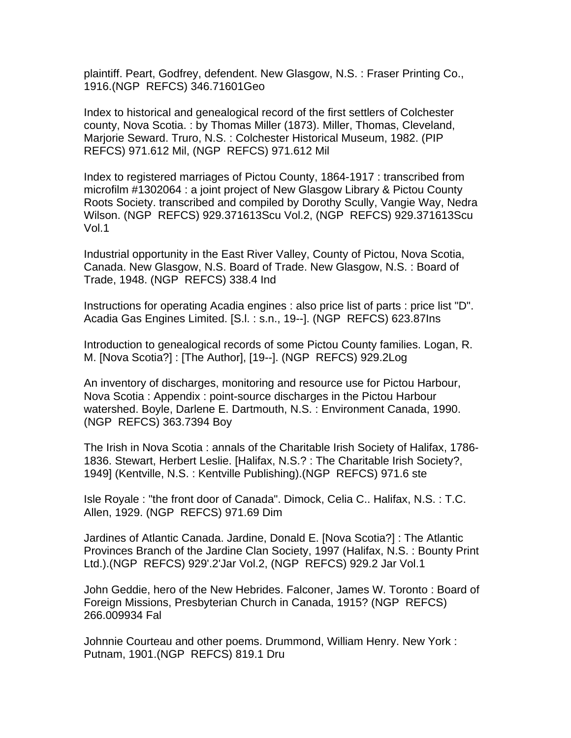plaintiff. Peart, Godfrey, defendent. New Glasgow, N.S. : Fraser Printing Co., 1916.(NGP REFCS) 346.71601Geo

Index to historical and genealogical record of the first settlers of Colchester county, Nova Scotia. : by Thomas Miller (1873). Miller, Thomas, Cleveland, Marjorie Seward. Truro, N.S. : Colchester Historical Museum, 1982. (PIP REFCS) 971.612 Mil, (NGP REFCS) 971.612 Mil

Index to registered marriages of Pictou County, 1864-1917 : transcribed from microfilm #1302064 : a joint project of New Glasgow Library & Pictou County Roots Society. transcribed and compiled by Dorothy Scully, Vangie Way, Nedra Wilson. (NGP REFCS) 929.371613Scu Vol.2, (NGP REFCS) 929.371613Scu Vol.1

Industrial opportunity in the East River Valley, County of Pictou, Nova Scotia, Canada. New Glasgow, N.S. Board of Trade. New Glasgow, N.S. : Board of Trade, 1948. (NGP REFCS) 338.4 Ind

Instructions for operating Acadia engines : also price list of parts : price list "D". Acadia Gas Engines Limited. [S.l. : s.n., 19--]. (NGP REFCS) 623.87Ins

Introduction to genealogical records of some Pictou County families. Logan, R. M. [Nova Scotia?] : [The Author], [19--]. (NGP REFCS) 929.2Log

An inventory of discharges, monitoring and resource use for Pictou Harbour, Nova Scotia : Appendix : point-source discharges in the Pictou Harbour watershed. Boyle, Darlene E. Dartmouth, N.S. : Environment Canada, 1990. (NGP REFCS) 363.7394 Boy

The Irish in Nova Scotia : annals of the Charitable Irish Society of Halifax, 1786- 1836. Stewart, Herbert Leslie. [Halifax, N.S.? : The Charitable Irish Society?, 1949] (Kentville, N.S. : Kentville Publishing).(NGP REFCS) 971.6 ste

Isle Royale : "the front door of Canada". Dimock, Celia C.. Halifax, N.S. : T.C. Allen, 1929. (NGP REFCS) 971.69 Dim

Jardines of Atlantic Canada. Jardine, Donald E. [Nova Scotia?] : The Atlantic Provinces Branch of the Jardine Clan Society, 1997 (Halifax, N.S. : Bounty Print Ltd.).(NGP REFCS) 929'.2'Jar Vol.2, (NGP REFCS) 929.2 Jar Vol.1

John Geddie, hero of the New Hebrides. Falconer, James W. Toronto : Board of Foreign Missions, Presbyterian Church in Canada, 1915? (NGP REFCS) 266.009934 Fal

Johnnie Courteau and other poems. Drummond, William Henry. New York : Putnam, 1901.(NGP REFCS) 819.1 Dru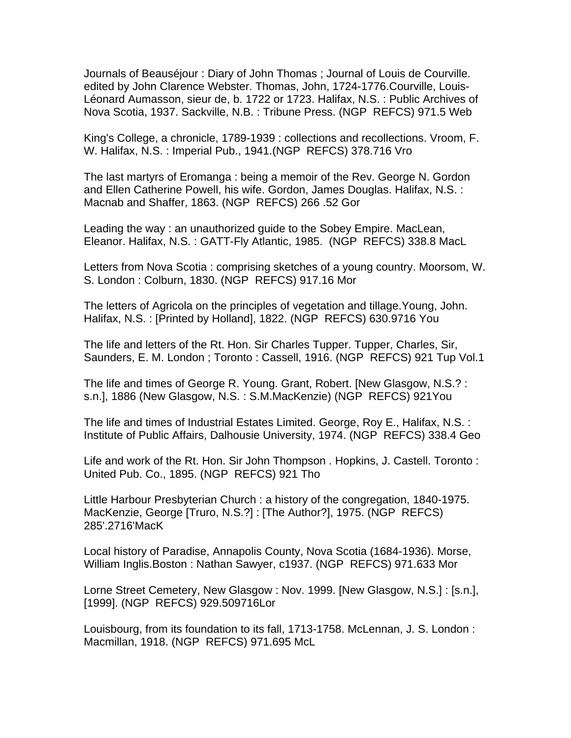Journals of Beauséjour : Diary of John Thomas ; Journal of Louis de Courville. edited by John Clarence Webster. Thomas, John, 1724-1776.Courville, Louis-Léonard Aumasson, sieur de, b. 1722 or 1723. Halifax, N.S. : Public Archives of Nova Scotia, 1937. Sackville, N.B. : Tribune Press. (NGP REFCS) 971.5 Web

King's College, a chronicle, 1789-1939 : collections and recollections. Vroom, F. W. Halifax, N.S. : Imperial Pub., 1941.(NGP REFCS) 378.716 Vro

The last martyrs of Eromanga : being a memoir of the Rev. George N. Gordon and Ellen Catherine Powell, his wife. Gordon, James Douglas. Halifax, N.S. : Macnab and Shaffer, 1863. (NGP REFCS) 266 .52 Gor

Leading the way : an unauthorized guide to the Sobey Empire. MacLean, Eleanor. Halifax, N.S. : GATT-Fly Atlantic, 1985. (NGP REFCS) 338.8 MacL

Letters from Nova Scotia : comprising sketches of a young country. Moorsom, W. S. London : Colburn, 1830. (NGP REFCS) 917.16 Mor

The letters of Agricola on the principles of vegetation and tillage.Young, John. Halifax, N.S. : [Printed by Holland], 1822. (NGP REFCS) 630.9716 You

The life and letters of the Rt. Hon. Sir Charles Tupper. Tupper, Charles, Sir, Saunders, E. M. London ; Toronto : Cassell, 1916. (NGP REFCS) 921 Tup Vol.1

The life and times of George R. Young. Grant, Robert. [New Glasgow, N.S.? : s.n.], 1886 (New Glasgow, N.S. : S.M.MacKenzie) (NGP REFCS) 921You

The life and times of Industrial Estates Limited. George, Roy E., Halifax, N.S. : Institute of Public Affairs, Dalhousie University, 1974. (NGP REFCS) 338.4 Geo

Life and work of the Rt. Hon. Sir John Thompson . Hopkins, J. Castell. Toronto : United Pub. Co., 1895. (NGP REFCS) 921 Tho

Little Harbour Presbyterian Church : a history of the congregation, 1840-1975. MacKenzie, George [Truro, N.S.?] : [The Author?], 1975. (NGP REFCS) 285'.2716'MacK

Local history of Paradise, Annapolis County, Nova Scotia (1684-1936). Morse, William Inglis.Boston : Nathan Sawyer, c1937. (NGP REFCS) 971.633 Mor

Lorne Street Cemetery, New Glasgow : Nov. 1999. [New Glasgow, N.S.] : [s.n.], [1999]. (NGP REFCS) 929.509716Lor

Louisbourg, from its foundation to its fall, 1713-1758. McLennan, J. S. London : Macmillan, 1918. (NGP REFCS) 971.695 McL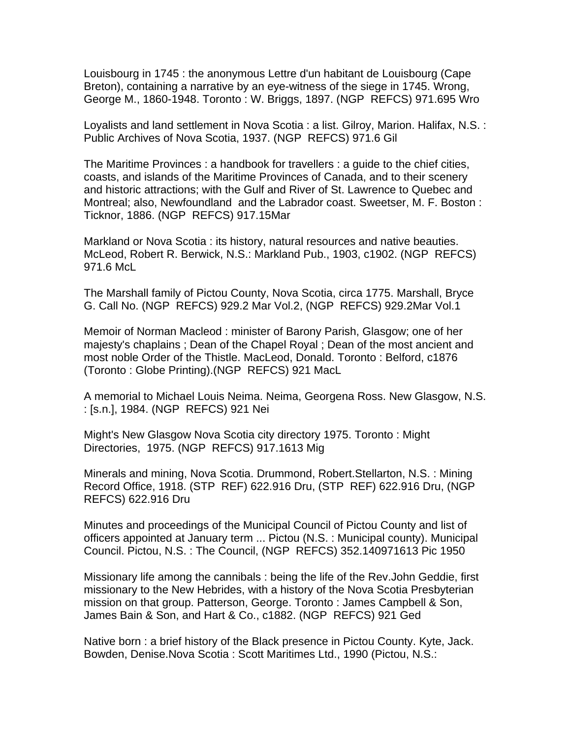Louisbourg in 1745 : the anonymous Lettre d'un habitant de Louisbourg (Cape Breton), containing a narrative by an eye-witness of the siege in 1745. Wrong, George M., 1860-1948. Toronto : W. Briggs, 1897. (NGP REFCS) 971.695 Wro

Loyalists and land settlement in Nova Scotia : a list. Gilroy, Marion. Halifax, N.S. : Public Archives of Nova Scotia, 1937. (NGP REFCS) 971.6 Gil

The Maritime Provinces : a handbook for travellers : a guide to the chief cities, coasts, and islands of the Maritime Provinces of Canada, and to their scenery and historic attractions; with the Gulf and River of St. Lawrence to Quebec and Montreal; also, Newfoundland and the Labrador coast. Sweetser, M. F. Boston : Ticknor, 1886. (NGP REFCS) 917.15Mar

Markland or Nova Scotia : its history, natural resources and native beauties. McLeod, Robert R. Berwick, N.S.: Markland Pub., 1903, c1902. (NGP REFCS) 971.6 McL

The Marshall family of Pictou County, Nova Scotia, circa 1775. Marshall, Bryce G. Call No. (NGP REFCS) 929.2 Mar Vol.2, (NGP REFCS) 929.2Mar Vol.1

Memoir of Norman Macleod : minister of Barony Parish, Glasgow; one of her majesty's chaplains ; Dean of the Chapel Royal ; Dean of the most ancient and most noble Order of the Thistle. MacLeod, Donald. Toronto : Belford, c1876 (Toronto : Globe Printing).(NGP REFCS) 921 MacL

A memorial to Michael Louis Neima. Neima, Georgena Ross. New Glasgow, N.S. : [s.n.], 1984. (NGP REFCS) 921 Nei

Might's New Glasgow Nova Scotia city directory 1975. Toronto : Might Directories, 1975. (NGP REFCS) 917.1613 Mig

Minerals and mining, Nova Scotia. Drummond, Robert.Stellarton, N.S. : Mining Record Office, 1918. (STP REF) 622.916 Dru, (STP REF) 622.916 Dru, (NGP REFCS) 622.916 Dru

Minutes and proceedings of the Municipal Council of Pictou County and list of officers appointed at January term ... Pictou (N.S. : Municipal county). Municipal Council. Pictou, N.S. : The Council, (NGP REFCS) 352.140971613 Pic 1950

Missionary life among the cannibals : being the life of the Rev.John Geddie, first missionary to the New Hebrides, with a history of the Nova Scotia Presbyterian mission on that group. Patterson, George. Toronto : James Campbell & Son, James Bain & Son, and Hart & Co., c1882. (NGP REFCS) 921 Ged

Native born : a brief history of the Black presence in Pictou County. Kyte, Jack. Bowden, Denise.Nova Scotia : Scott Maritimes Ltd., 1990 (Pictou, N.S.: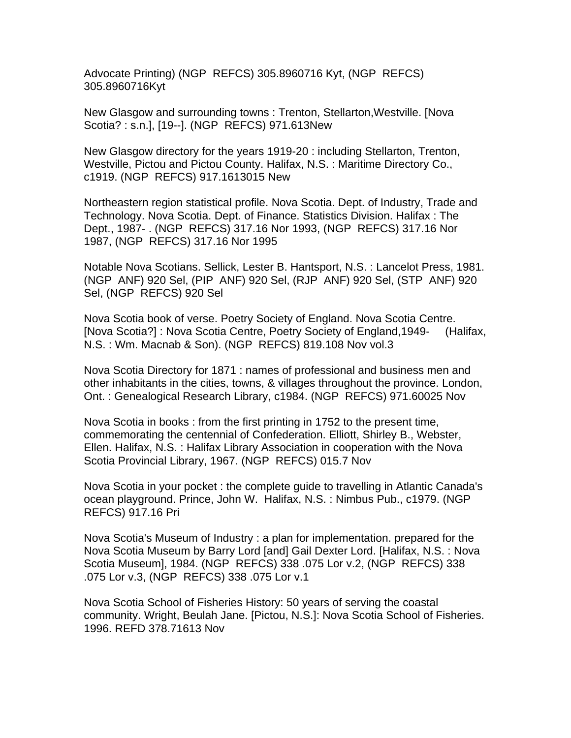Advocate Printing) (NGP REFCS) 305.8960716 Kyt, (NGP REFCS) 305.8960716Kyt

New Glasgow and surrounding towns : Trenton, Stellarton,Westville. [Nova Scotia? : s.n.], [19--]. (NGP REFCS) 971.613New

New Glasgow directory for the years 1919-20 : including Stellarton, Trenton, Westville, Pictou and Pictou County. Halifax, N.S. : Maritime Directory Co., c1919. (NGP REFCS) 917.1613015 New

Northeastern region statistical profile. Nova Scotia. Dept. of Industry, Trade and Technology. Nova Scotia. Dept. of Finance. Statistics Division. Halifax : The Dept., 1987- . (NGP REFCS) 317.16 Nor 1993, (NGP REFCS) 317.16 Nor 1987, (NGP REFCS) 317.16 Nor 1995

Notable Nova Scotians. Sellick, Lester B. Hantsport, N.S. : Lancelot Press, 1981. (NGP ANF) 920 Sel, (PIP ANF) 920 Sel, (RJP ANF) 920 Sel, (STP ANF) 920 Sel, (NGP REFCS) 920 Sel

Nova Scotia book of verse. Poetry Society of England. Nova Scotia Centre. [Nova Scotia?] : Nova Scotia Centre, Poetry Society of England,1949- (Halifax, N.S. : Wm. Macnab & Son). (NGP REFCS) 819.108 Nov vol.3

Nova Scotia Directory for 1871 : names of professional and business men and other inhabitants in the cities, towns, & villages throughout the province. London, Ont. : Genealogical Research Library, c1984. (NGP REFCS) 971.60025 Nov

Nova Scotia in books : from the first printing in 1752 to the present time, commemorating the centennial of Confederation. Elliott, Shirley B., Webster, Ellen. Halifax, N.S. : Halifax Library Association in cooperation with the Nova Scotia Provincial Library, 1967. (NGP REFCS) 015.7 Nov

Nova Scotia in your pocket : the complete guide to travelling in Atlantic Canada's ocean playground. Prince, John W. Halifax, N.S. : Nimbus Pub., c1979. (NGP REFCS) 917.16 Pri

Nova Scotia's Museum of Industry : a plan for implementation. prepared for the Nova Scotia Museum by Barry Lord [and] Gail Dexter Lord. [Halifax, N.S. : Nova Scotia Museum], 1984. (NGP REFCS) 338 .075 Lor v.2, (NGP REFCS) 338 .075 Lor v.3, (NGP REFCS) 338 .075 Lor v.1

Nova Scotia School of Fisheries History: 50 years of serving the coastal community. Wright, Beulah Jane. [Pictou, N.S.]: Nova Scotia School of Fisheries. 1996. REFD 378.71613 Nov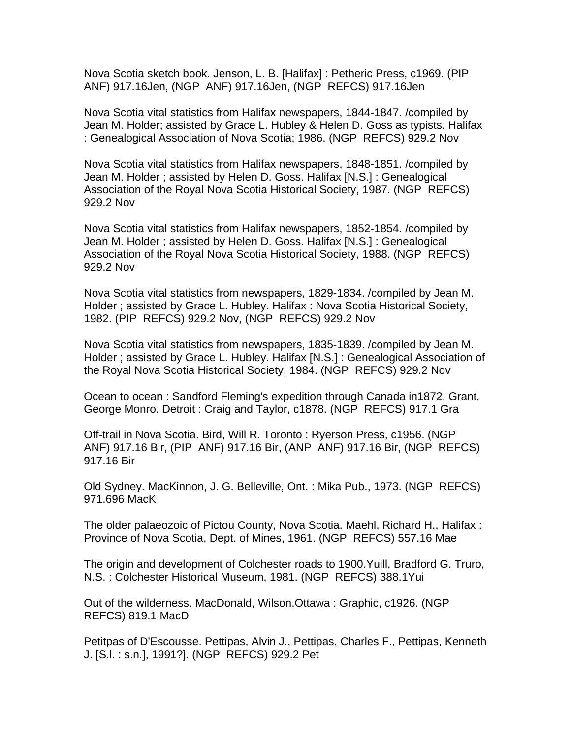Nova Scotia sketch book. Jenson, L. B. [Halifax] : Petheric Press, c1969. (PIP ANF) 917.16Jen, (NGP ANF) 917.16Jen, (NGP REFCS) 917.16Jen

Nova Scotia vital statistics from Halifax newspapers, 1844-1847. /compiled by Jean M. Holder; assisted by Grace L. Hubley & Helen D. Goss as typists. Halifax : Genealogical Association of Nova Scotia; 1986. (NGP REFCS) 929.2 Nov

Nova Scotia vital statistics from Halifax newspapers, 1848-1851. /compiled by Jean M. Holder ; assisted by Helen D. Goss. Halifax [N.S.] : Genealogical Association of the Royal Nova Scotia Historical Society, 1987. (NGP REFCS) 929.2 Nov

Nova Scotia vital statistics from Halifax newspapers, 1852-1854. /compiled by Jean M. Holder ; assisted by Helen D. Goss. Halifax [N.S.] : Genealogical Association of the Royal Nova Scotia Historical Society, 1988. (NGP REFCS) 929.2 Nov

Nova Scotia vital statistics from newspapers, 1829-1834. /compiled by Jean M. Holder ; assisted by Grace L. Hubley. Halifax : Nova Scotia Historical Society, 1982. (PIP REFCS) 929.2 Nov, (NGP REFCS) 929.2 Nov

Nova Scotia vital statistics from newspapers, 1835-1839. /compiled by Jean M. Holder ; assisted by Grace L. Hubley. Halifax [N.S.] : Genealogical Association of the Royal Nova Scotia Historical Society, 1984. (NGP REFCS) 929.2 Nov

Ocean to ocean : Sandford Fleming's expedition through Canada in1872. Grant, George Monro. Detroit : Craig and Taylor, c1878. (NGP REFCS) 917.1 Gra

Off-trail in Nova Scotia. Bird, Will R. Toronto : Ryerson Press, c1956. (NGP ANF) 917.16 Bir, (PIP ANF) 917.16 Bir, (ANP ANF) 917.16 Bir, (NGP REFCS) 917.16 Bir

Old Sydney. MacKinnon, J. G. Belleville, Ont. : Mika Pub., 1973. (NGP REFCS) 971.696 MacK

The older palaeozoic of Pictou County, Nova Scotia. Maehl, Richard H., Halifax : Province of Nova Scotia, Dept. of Mines, 1961. (NGP REFCS) 557.16 Mae

The origin and development of Colchester roads to 1900.Yuill, Bradford G. Truro, N.S. : Colchester Historical Museum, 1981. (NGP REFCS) 388.1Yui

Out of the wilderness. MacDonald, Wilson.Ottawa : Graphic, c1926. (NGP REFCS) 819.1 MacD

Petitpas of D'Escousse. Pettipas, Alvin J., Pettipas, Charles F., Pettipas, Kenneth J. [S.l. : s.n.], 1991?]. (NGP REFCS) 929.2 Pet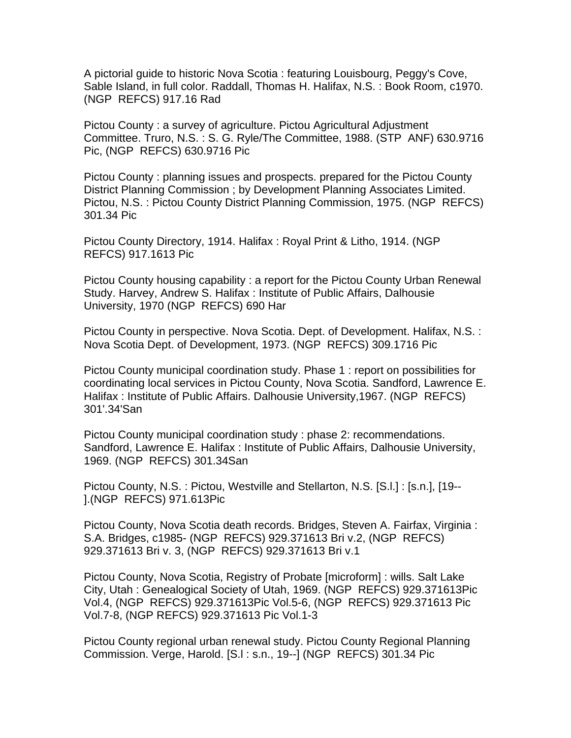A pictorial guide to historic Nova Scotia : featuring Louisbourg, Peggy's Cove, Sable Island, in full color. Raddall, Thomas H. Halifax, N.S. : Book Room, c1970. (NGP REFCS) 917.16 Rad

Pictou County : a survey of agriculture. Pictou Agricultural Adjustment Committee. Truro, N.S. : S. G. Ryle/The Committee, 1988. (STP ANF) 630.9716 Pic, (NGP REFCS) 630.9716 Pic

Pictou County : planning issues and prospects. prepared for the Pictou County District Planning Commission ; by Development Planning Associates Limited. Pictou, N.S. : Pictou County District Planning Commission, 1975. (NGP REFCS) 301.34 Pic

Pictou County Directory, 1914. Halifax : Royal Print & Litho, 1914. (NGP REFCS) 917.1613 Pic

Pictou County housing capability : a report for the Pictou County Urban Renewal Study. Harvey, Andrew S. Halifax : Institute of Public Affairs, Dalhousie University, 1970 (NGP REFCS) 690 Har

Pictou County in perspective. Nova Scotia. Dept. of Development. Halifax, N.S. : Nova Scotia Dept. of Development, 1973. (NGP REFCS) 309.1716 Pic

Pictou County municipal coordination study. Phase 1 : report on possibilities for coordinating local services in Pictou County, Nova Scotia. Sandford, Lawrence E. Halifax : Institute of Public Affairs. Dalhousie University,1967. (NGP REFCS) 301'.34'San

Pictou County municipal coordination study : phase 2: recommendations. Sandford, Lawrence E. Halifax : Institute of Public Affairs, Dalhousie University, 1969. (NGP REFCS) 301.34San

Pictou County, N.S. : Pictou, Westville and Stellarton, N.S. [S.l.] : [s.n.], [19-- ].(NGP REFCS) 971.613Pic

Pictou County, Nova Scotia death records. Bridges, Steven A. Fairfax, Virginia : S.A. Bridges, c1985- (NGP REFCS) 929.371613 Bri v.2, (NGP REFCS) 929.371613 Bri v. 3, (NGP REFCS) 929.371613 Bri v.1

Pictou County, Nova Scotia, Registry of Probate [microform] : wills. Salt Lake City, Utah : Genealogical Society of Utah, 1969. (NGP REFCS) 929.371613Pic Vol.4, (NGP REFCS) 929.371613Pic Vol.5-6, (NGP REFCS) 929.371613 Pic Vol.7-8, (NGP REFCS) 929.371613 Pic Vol.1-3

Pictou County regional urban renewal study. Pictou County Regional Planning Commission. Verge, Harold. [S.l : s.n., 19--] (NGP REFCS) 301.34 Pic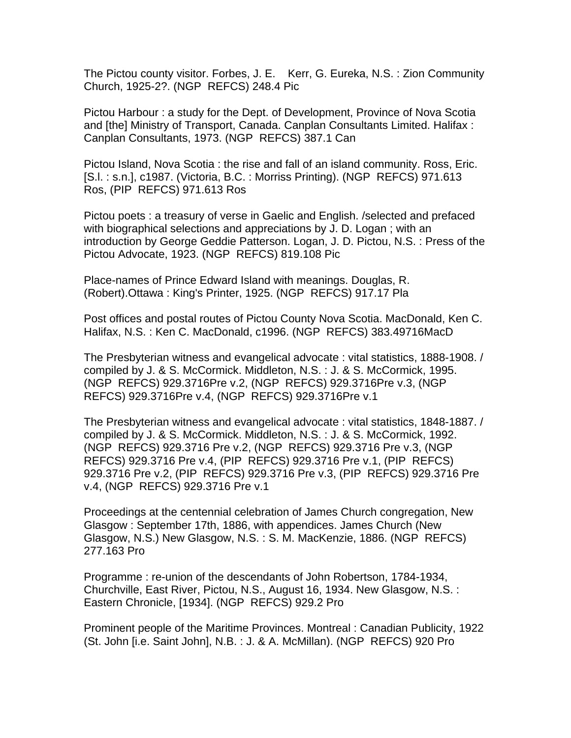The Pictou county visitor. Forbes, J. E. Kerr, G. Eureka, N.S. : Zion Community Church, 1925-2?. (NGP REFCS) 248.4 Pic

Pictou Harbour : a study for the Dept. of Development, Province of Nova Scotia and [the] Ministry of Transport, Canada. Canplan Consultants Limited. Halifax : Canplan Consultants, 1973. (NGP REFCS) 387.1 Can

Pictou Island, Nova Scotia : the rise and fall of an island community. Ross, Eric. [S.l. : s.n.], c1987. (Victoria, B.C. : Morriss Printing). (NGP REFCS) 971.613 Ros, (PIP REFCS) 971.613 Ros

Pictou poets : a treasury of verse in Gaelic and English. /selected and prefaced with biographical selections and appreciations by J. D. Logan ; with an introduction by George Geddie Patterson. Logan, J. D. Pictou, N.S. : Press of the Pictou Advocate, 1923. (NGP REFCS) 819.108 Pic

Place-names of Prince Edward Island with meanings. Douglas, R. (Robert).Ottawa : King's Printer, 1925. (NGP REFCS) 917.17 Pla

Post offices and postal routes of Pictou County Nova Scotia. MacDonald, Ken C. Halifax, N.S. : Ken C. MacDonald, c1996. (NGP REFCS) 383.49716MacD

The Presbyterian witness and evangelical advocate : vital statistics, 1888-1908. / compiled by J. & S. McCormick. Middleton, N.S. : J. & S. McCormick, 1995. (NGP REFCS) 929.3716Pre v.2, (NGP REFCS) 929.3716Pre v.3, (NGP REFCS) 929.3716Pre v.4, (NGP REFCS) 929.3716Pre v.1

The Presbyterian witness and evangelical advocate : vital statistics, 1848-1887. / compiled by J. & S. McCormick. Middleton, N.S. : J. & S. McCormick, 1992. (NGP REFCS) 929.3716 Pre v.2, (NGP REFCS) 929.3716 Pre v.3, (NGP REFCS) 929.3716 Pre v.4, (PIP REFCS) 929.3716 Pre v.1, (PIP REFCS) 929.3716 Pre v.2, (PIP REFCS) 929.3716 Pre v.3, (PIP REFCS) 929.3716 Pre v.4, (NGP REFCS) 929.3716 Pre v.1

Proceedings at the centennial celebration of James Church congregation, New Glasgow : September 17th, 1886, with appendices. James Church (New Glasgow, N.S.) New Glasgow, N.S. : S. M. MacKenzie, 1886. (NGP REFCS) 277.163 Pro

Programme : re-union of the descendants of John Robertson, 1784-1934, Churchville, East River, Pictou, N.S., August 16, 1934. New Glasgow, N.S. : Eastern Chronicle, [1934]. (NGP REFCS) 929.2 Pro

Prominent people of the Maritime Provinces. Montreal : Canadian Publicity, 1922 (St. John [i.e. Saint John], N.B. : J. & A. McMillan). (NGP REFCS) 920 Pro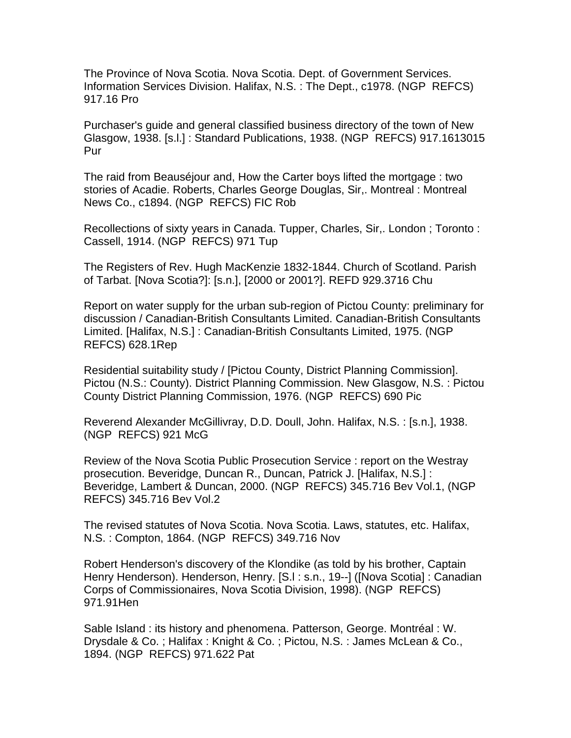The Province of Nova Scotia. Nova Scotia. Dept. of Government Services. Information Services Division. Halifax, N.S. : The Dept., c1978. (NGP REFCS) 917.16 Pro

Purchaser's guide and general classified business directory of the town of New Glasgow, 1938. [s.l.] : Standard Publications, 1938. (NGP REFCS) 917.1613015 Pur

The raid from Beauséjour and, How the Carter boys lifted the mortgage : two stories of Acadie. Roberts, Charles George Douglas, Sir,. Montreal : Montreal News Co., c1894. (NGP REFCS) FIC Rob

Recollections of sixty years in Canada. Tupper, Charles, Sir,. London ; Toronto : Cassell, 1914. (NGP REFCS) 971 Tup

The Registers of Rev. Hugh MacKenzie 1832-1844. Church of Scotland. Parish of Tarbat. [Nova Scotia?]: [s.n.], [2000 or 2001?]. REFD 929.3716 Chu

Report on water supply for the urban sub-region of Pictou County: preliminary for discussion / Canadian-British Consultants Limited. Canadian-British Consultants Limited. [Halifax, N.S.] : Canadian-British Consultants Limited, 1975. (NGP REFCS) 628.1Rep

Residential suitability study / [Pictou County, District Planning Commission]. Pictou (N.S.: County). District Planning Commission. New Glasgow, N.S. : Pictou County District Planning Commission, 1976. (NGP REFCS) 690 Pic

Reverend Alexander McGillivray, D.D. Doull, John. Halifax, N.S. : [s.n.], 1938. (NGP REFCS) 921 McG

Review of the Nova Scotia Public Prosecution Service : report on the Westray prosecution. Beveridge, Duncan R., Duncan, Patrick J. [Halifax, N.S.] : Beveridge, Lambert & Duncan, 2000. (NGP REFCS) 345.716 Bev Vol.1, (NGP REFCS) 345.716 Bev Vol.2

The revised statutes of Nova Scotia. Nova Scotia. Laws, statutes, etc. Halifax, N.S. : Compton, 1864. (NGP REFCS) 349.716 Nov

Robert Henderson's discovery of the Klondike (as told by his brother, Captain Henry Henderson). Henderson, Henry. [S.l : s.n., 19--] ([Nova Scotia] : Canadian Corps of Commissionaires, Nova Scotia Division, 1998). (NGP REFCS) 971.91Hen

Sable Island : its history and phenomena. Patterson, George. Montréal : W. Drysdale & Co. ; Halifax : Knight & Co. ; Pictou, N.S. : James McLean & Co., 1894. (NGP REFCS) 971.622 Pat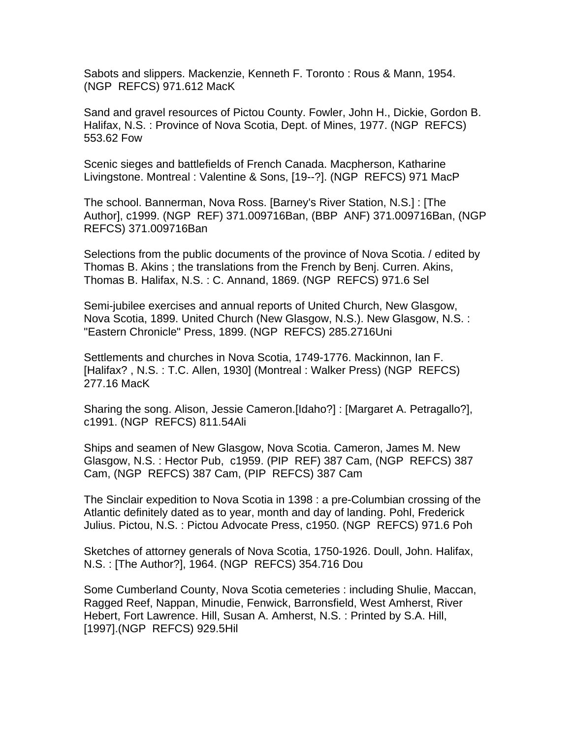Sabots and slippers. Mackenzie, Kenneth F. Toronto : Rous & Mann, 1954. (NGP REFCS) 971.612 MacK

Sand and gravel resources of Pictou County. Fowler, John H., Dickie, Gordon B. Halifax, N.S. : Province of Nova Scotia, Dept. of Mines, 1977. (NGP REFCS) 553.62 Fow

Scenic sieges and battlefields of French Canada. Macpherson, Katharine Livingstone. Montreal : Valentine & Sons, [19--?]. (NGP REFCS) 971 MacP

The school. Bannerman, Nova Ross. [Barney's River Station, N.S.] : [The Author], c1999. (NGP REF) 371.009716Ban, (BBP ANF) 371.009716Ban, (NGP REFCS) 371.009716Ban

Selections from the public documents of the province of Nova Scotia. / edited by Thomas B. Akins ; the translations from the French by Benj. Curren. Akins, Thomas B. Halifax, N.S. : C. Annand, 1869. (NGP REFCS) 971.6 Sel

Semi-jubilee exercises and annual reports of United Church, New Glasgow, Nova Scotia, 1899. United Church (New Glasgow, N.S.). New Glasgow, N.S. : "Eastern Chronicle" Press, 1899. (NGP REFCS) 285.2716Uni

Settlements and churches in Nova Scotia, 1749-1776. Mackinnon, Ian F. [Halifax? , N.S. : T.C. Allen, 1930] (Montreal : Walker Press) (NGP REFCS) 277.16 MacK

Sharing the song. Alison, Jessie Cameron.[Idaho?] : [Margaret A. Petragallo?], c1991. (NGP REFCS) 811.54Ali

Ships and seamen of New Glasgow, Nova Scotia. Cameron, James M. New Glasgow, N.S. : Hector Pub, c1959. (PIP REF) 387 Cam, (NGP REFCS) 387 Cam, (NGP REFCS) 387 Cam, (PIP REFCS) 387 Cam

The Sinclair expedition to Nova Scotia in 1398 : a pre-Columbian crossing of the Atlantic definitely dated as to year, month and day of landing. Pohl, Frederick Julius. Pictou, N.S. : Pictou Advocate Press, c1950. (NGP REFCS) 971.6 Poh

Sketches of attorney generals of Nova Scotia, 1750-1926. Doull, John. Halifax, N.S. : [The Author?], 1964. (NGP REFCS) 354.716 Dou

Some Cumberland County, Nova Scotia cemeteries : including Shulie, Maccan, Ragged Reef, Nappan, Minudie, Fenwick, Barronsfield, West Amherst, River Hebert, Fort Lawrence. Hill, Susan A. Amherst, N.S. : Printed by S.A. Hill, [1997].(NGP REFCS) 929.5Hil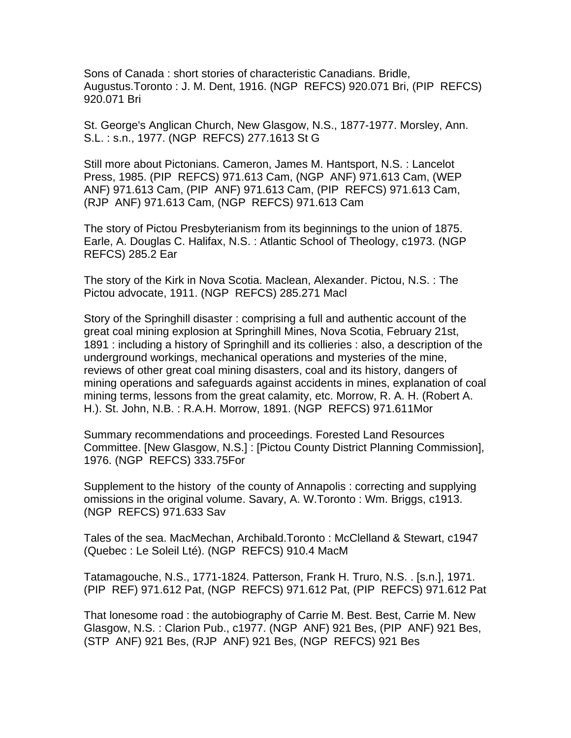Sons of Canada : short stories of characteristic Canadians. Bridle, Augustus.Toronto : J. M. Dent, 1916. (NGP REFCS) 920.071 Bri, (PIP REFCS) 920.071 Bri

St. George's Anglican Church, New Glasgow, N.S., 1877-1977. Morsley, Ann. S.L. : s.n., 1977. (NGP REFCS) 277.1613 St G

Still more about Pictonians. Cameron, James M. Hantsport, N.S. : Lancelot Press, 1985. (PIP REFCS) 971.613 Cam, (NGP ANF) 971.613 Cam, (WEP ANF) 971.613 Cam, (PIP ANF) 971.613 Cam, (PIP REFCS) 971.613 Cam, (RJP ANF) 971.613 Cam, (NGP REFCS) 971.613 Cam

The story of Pictou Presbyterianism from its beginnings to the union of 1875. Earle, A. Douglas C. Halifax, N.S. : Atlantic School of Theology, c1973. (NGP REFCS) 285.2 Ear

The story of the Kirk in Nova Scotia. Maclean, Alexander. Pictou, N.S. : The Pictou advocate, 1911. (NGP REFCS) 285.271 Macl

Story of the Springhill disaster : comprising a full and authentic account of the great coal mining explosion at Springhill Mines, Nova Scotia, February 21st, 1891 : including a history of Springhill and its collieries : also, a description of the underground workings, mechanical operations and mysteries of the mine, reviews of other great coal mining disasters, coal and its history, dangers of mining operations and safeguards against accidents in mines, explanation of coal mining terms, lessons from the great calamity, etc. Morrow, R. A. H. (Robert A. H.). St. John, N.B. : R.A.H. Morrow, 1891. (NGP REFCS) 971.611Mor

Summary recommendations and proceedings. Forested Land Resources Committee. [New Glasgow, N.S.] : [Pictou County District Planning Commission], 1976. (NGP REFCS) 333.75For

Supplement to the history of the county of Annapolis : correcting and supplying omissions in the original volume. Savary, A. W.Toronto : Wm. Briggs, c1913. (NGP REFCS) 971.633 Sav

Tales of the sea. MacMechan, Archibald.Toronto : McClelland & Stewart, c1947 (Quebec : Le Soleil Lté). (NGP REFCS) 910.4 MacM

Tatamagouche, N.S., 1771-1824. Patterson, Frank H. Truro, N.S. . [s.n.], 1971. (PIP REF) 971.612 Pat, (NGP REFCS) 971.612 Pat, (PIP REFCS) 971.612 Pat

That lonesome road : the autobiography of Carrie M. Best. Best, Carrie M. New Glasgow, N.S. : Clarion Pub., c1977. (NGP ANF) 921 Bes, (PIP ANF) 921 Bes, (STP ANF) 921 Bes, (RJP ANF) 921 Bes, (NGP REFCS) 921 Bes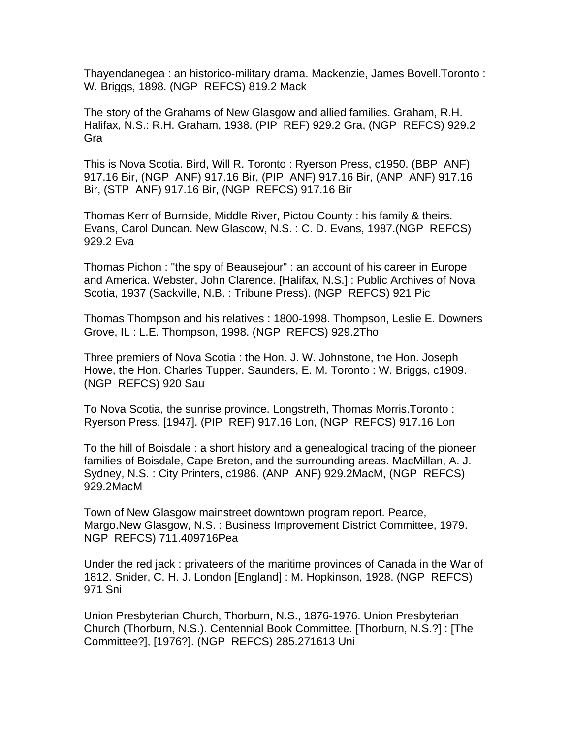Thayendanegea : an historico-military drama. Mackenzie, James Bovell.Toronto : W. Briggs, 1898. (NGP REFCS) 819.2 Mack

The story of the Grahams of New Glasgow and allied families. Graham, R.H. Halifax, N.S.: R.H. Graham, 1938. (PIP REF) 929.2 Gra, (NGP REFCS) 929.2 Gra

This is Nova Scotia. Bird, Will R. Toronto : Ryerson Press, c1950. (BBP ANF) 917.16 Bir, (NGP ANF) 917.16 Bir, (PIP ANF) 917.16 Bir, (ANP ANF) 917.16 Bir, (STP ANF) 917.16 Bir, (NGP REFCS) 917.16 Bir

Thomas Kerr of Burnside, Middle River, Pictou County : his family & theirs. Evans, Carol Duncan. New Glascow, N.S. : C. D. Evans, 1987.(NGP REFCS) 929.2 Eva

Thomas Pichon : "the spy of Beausejour" : an account of his career in Europe and America. Webster, John Clarence. [Halifax, N.S.] : Public Archives of Nova Scotia, 1937 (Sackville, N.B. : Tribune Press). (NGP REFCS) 921 Pic

Thomas Thompson and his relatives : 1800-1998. Thompson, Leslie E. Downers Grove, IL : L.E. Thompson, 1998. (NGP REFCS) 929.2Tho

Three premiers of Nova Scotia : the Hon. J. W. Johnstone, the Hon. Joseph Howe, the Hon. Charles Tupper. Saunders, E. M. Toronto : W. Briggs, c1909. (NGP REFCS) 920 Sau

To Nova Scotia, the sunrise province. Longstreth, Thomas Morris.Toronto : Ryerson Press, [1947]. (PIP REF) 917.16 Lon, (NGP REFCS) 917.16 Lon

To the hill of Boisdale : a short history and a genealogical tracing of the pioneer families of Boisdale, Cape Breton, and the surrounding areas. MacMillan, A. J. Sydney, N.S. : City Printers, c1986. (ANP ANF) 929.2MacM, (NGP REFCS) 929.2MacM

Town of New Glasgow mainstreet downtown program report. Pearce, Margo.New Glasgow, N.S. : Business Improvement District Committee, 1979. NGP REFCS) 711.409716Pea

Under the red jack : privateers of the maritime provinces of Canada in the War of 1812. Snider, C. H. J. London [England] : M. Hopkinson, 1928. (NGP REFCS) 971 Sni

Union Presbyterian Church, Thorburn, N.S., 1876-1976. Union Presbyterian Church (Thorburn, N.S.). Centennial Book Committee. [Thorburn, N.S.?] : [The Committee?], [1976?]. (NGP REFCS) 285.271613 Uni